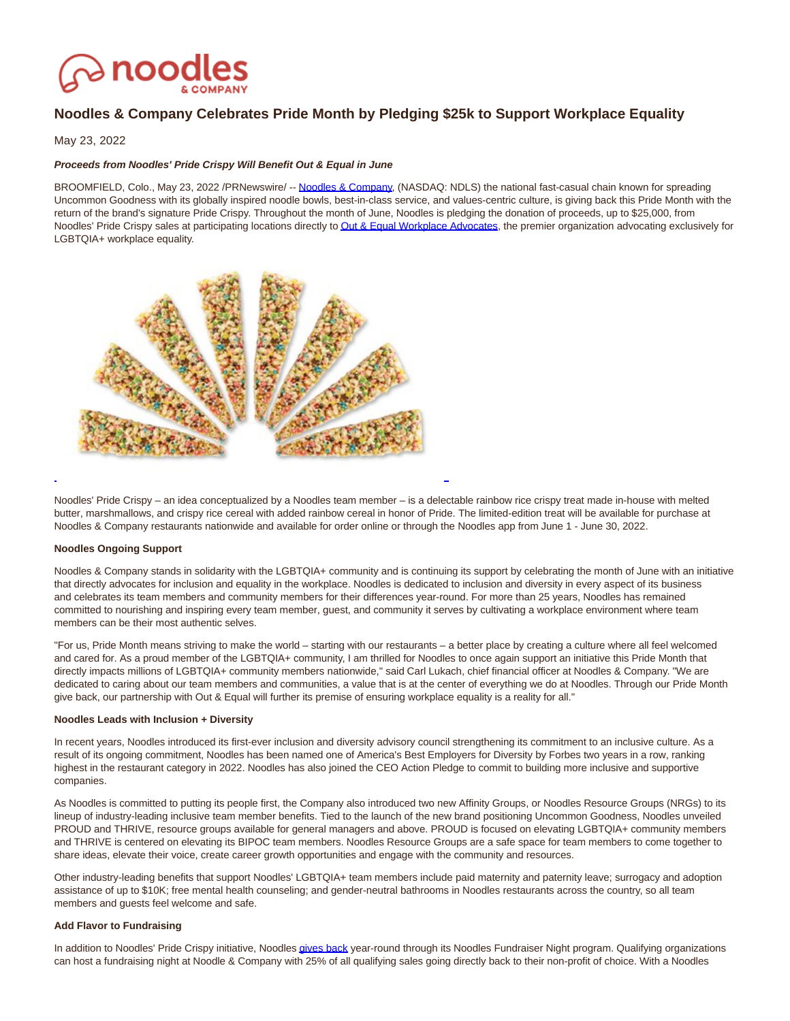

# **Noodles & Company Celebrates Pride Month by Pledging \$25k to Support Workplace Equality**

May 23, 2022

## **Proceeds from Noodles' Pride Crispy Will Benefit Out & Equal in June**

BROOMFIELD, Colo., May 23, 2022 /PRNewswire/ -- [Noodles & Company,](https://c212.net/c/link/?t=0&l=en&o=3536748-1&h=1687657214&u=http%3A%2F%2Fwww.noodles.com%2F&a=Noodles+%26+Company) (NASDAQ: NDLS) the national fast-casual chain known for spreading Uncommon Goodness with its globally inspired noodle bowls, best-in-class service, and values-centric culture, is giving back this Pride Month with the return of the brand's signature Pride Crispy. Throughout the month of June, Noodles is pledging the donation of proceeds, up to \$25,000, from Noodles' Pride Crispy sales at participating locations directly t[o Out & Equal Workplace Advocates,](https://c212.net/c/link/?t=0&l=en&o=3536748-1&h=2429866238&u=https%3A%2F%2Foutandequal.org%2F&a=Out+%26+Equal+Workplace+Advocates) the premier organization advocating exclusively for LGBTQIA+ workplace equality.



Noodles' Pride Crispy – an idea conceptualized by a Noodles team member – is a delectable rainbow rice crispy treat made in-house with melted butter, marshmallows, and crispy rice cereal with added rainbow cereal in honor of Pride. The limited-edition treat will be available for purchase at Noodles & Company restaurants nationwide and available for order online or through the Noodles app from June 1 - June 30, 2022.

֡֘

### **Noodles Ongoing Support**

Noodles & Company stands in solidarity with the LGBTQIA+ community and is continuing its support by celebrating the month of June with an initiative that directly advocates for inclusion and equality in the workplace. Noodles is dedicated to inclusion and diversity in every aspect of its business and celebrates its team members and community members for their differences year-round. For more than 25 years, Noodles has remained committed to nourishing and inspiring every team member, guest, and community it serves by cultivating a workplace environment where team members can be their most authentic selves.

"For us, Pride Month means striving to make the world – starting with our restaurants – a better place by creating a culture where all feel welcomed and cared for. As a proud member of the LGBTQIA+ community, I am thrilled for Noodles to once again support an initiative this Pride Month that directly impacts millions of LGBTQIA+ community members nationwide," said Carl Lukach, chief financial officer at Noodles & Company. "We are dedicated to caring about our team members and communities, a value that is at the center of everything we do at Noodles. Through our Pride Month give back, our partnership with Out & Equal will further its premise of ensuring workplace equality is a reality for all."

#### **Noodles Leads with Inclusion + Diversity**

In recent years, Noodles introduced its first-ever inclusion and diversity advisory council strengthening its commitment to an inclusive culture. As a result of its ongoing commitment, Noodles has been named one of America's Best Employers for Diversity by Forbes two years in a row, ranking highest in the restaurant category in 2022. Noodles has also joined the CEO Action Pledge to commit to building more inclusive and supportive companies.

As Noodles is committed to putting its people first, the Company also introduced two new Affinity Groups, or Noodles Resource Groups (NRGs) to its lineup of industry-leading inclusive team member benefits. Tied to the launch of the new brand positioning Uncommon Goodness, Noodles unveiled PROUD and THRIVE, resource groups available for general managers and above. PROUD is focused on elevating LGBTQIA+ community members and THRIVE is centered on elevating its BIPOC team members. Noodles Resource Groups are a safe space for team members to come together to share ideas, elevate their voice, create career growth opportunities and engage with the community and resources.

Other industry-leading benefits that support Noodles' LGBTQIA+ team members include paid maternity and paternity leave; surrogacy and adoption assistance of up to \$10K; free mental health counseling; and gender-neutral bathrooms in Noodles restaurants across the country, so all team members and guests feel welcome and safe.

#### **Add Flavor to Fundraising**

In addition to Noodles' Pride Crispy initiative, Noodle[s gives back y](https://c212.net/c/link/?t=0&l=en&o=3536748-1&h=3008963160&u=https%3A%2F%2Fwww.noodles.com%2Fabout-noodles%2Fgiving-back%2F&a=gives+back)ear-round through its Noodles Fundraiser Night program. Qualifying organizations can host a fundraising night at Noodle & Company with 25% of all qualifying sales going directly back to their non-profit of choice. With a Noodles